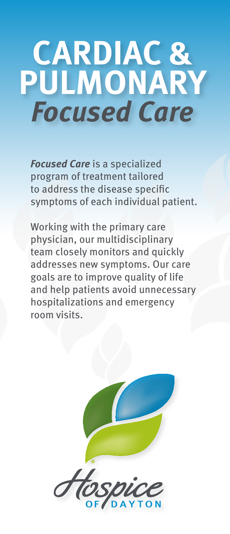# **CARDIAC & PULMONARY Focused Care**

**Focused Care** is a specialized program of treatment tailored to address the disease specific symptoms of each individual patient.

Working with the primary care physician, our multidisciplinary team closely monitors and quickly addresses new symptoms. Our care goals are to improve quality of life and help patients avoid unnecessary hospitalizations and emergency room visits.